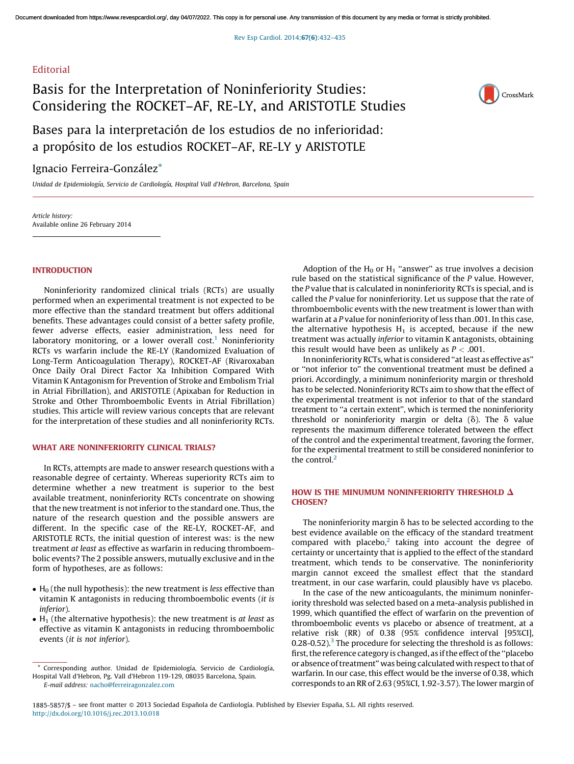## **Editorial**

# Basis for the Interpretation of Noninferiority Studies: Considering the ROCKET–AF, RE-LY, and ARISTOTLE Studies



Bases para la interpretación de los estudios de no inferioridad: a propósito de los estudios ROCKET–AF, RE-LY y ARISTOTLE

# Ignacio Ferreira-González\*

*Unidad de Epidemiologı´a, Servicio de Cardiologı´a, Hospital Vall d'Hebron, Barcelona, Spain*

*Article history:* Available online 26 February 2014

## INTRODUCTION

Noninferiority randomized clinical trials (RCTs) are usually performed when an experimental treatment is not expected to be more effective than the standard treatment but offers additional benefits. These advantages could consist of a better safety profile, fewer adverse effects, easier administration, less need for laboratory monitoring, or a lower overall cost.<sup>[1](#page-2-0)</sup> Noninferiority RCTs vs warfarin include the RE-LY (Randomized Evaluation of Long-Term Anticoagulation Therapy), ROCKET-AF (Rivaroxaban Once Daily Oral Direct Factor Xa Inhibition Compared With Vitamin K Antagonism for Prevention of Stroke and Embolism Trial in Atrial Fibrillation), and ARISTOTLE (Apixaban for Reduction in Stroke and Other Thromboembolic Events in Atrial Fibrillation) studies. This article will review various concepts that are relevant for the interpretation of these studies and all noninferiority RCTs.

#### WHAT ARE NONINFERIORITY CLINICAL TRIALS?

In RCTs, attempts are made to answer research questions with a reasonable degree of certainty. Whereas superiority RCTs aim to determine whether a new treatment is superior to the best available treatment, noninferiority RCTs concentrate on showing that the new treatment is not inferior to the standard one. Thus, the nature of the research question and the possible answers are different. In the specific case of the RE-LY, ROCKET-AF, and ARISTOTLE RCTs, the initial question of interest was: is the new treatment *at least* as effective as warfarin in reducing thromboembolic events? The 2 possible answers, mutually exclusive and in the form of hypotheses, are as follows:

- $\bullet$  H<sub>0</sub> (the null hypothesis): the new treatment is *less* effective than vitamin K antagonists in reducing thromboembolic events (*it is inferior*).
- $\bullet$  H<sub>1</sub> (the alternative hypothesis): the new treatment is *at least* as effective as vitamin K antagonists in reducing thromboembolic events (*it is not inferior*).

Adoption of the  $H_0$  or  $H_1$  "answer" as true involves a decision rule based on the statistical significance of the *P* value. However, the *P* value that is calculated in noninferiority RCTs is special, and is called the *P* value for noninferiority. Let us suppose that the rate of thromboembolic events with the new treatment is lower than with warfarin at a *P* value for noninferiority of less than .001. In this case, the alternative hypothesis  $H_1$  is accepted, because if the new treatment was actually *inferior* to vitamin K antagonists, obtaining this result would have been as unlikely as *P* < .001.

InnoninferiorityRCTs, whatis considered''atleast as effective as'' or ''not inferior to'' the conventional treatment must be defined a priori. Accordingly, a minimum noninferiority margin or threshold has to be selected. Noninferiority RCTs aim to show that the effect of the experimental treatment is not inferior to that of the standard treatment to ''a certain extent'', which is termed the noninferiority threshold or noninferiority margin or delta  $(\delta)$ . The  $\delta$  value represents the maximum difference tolerated between the effect of the control and the experimental treatment, favoring the former, for the experimental treatment to still be considered noninferior to the control.<sup>[2](#page-2-0)</sup>

## HOW IS THE MINUMUM NONINFERIORITY THRESHOLD  $\Delta$ CHOSEN?

The noninferiority margin  $\delta$  has to be selected according to the best evidence available on the efficacy of the standard treatment compared with placebo, $2$  taking into account the degree of certainty or uncertainty that is applied to the effect of the standard treatment, which tends to be conservative. The noninferiority margin cannot exceed the smallest effect that the standard treatment, in our case warfarin, could plausibly have vs placebo.

In the case of the new anticoagulants, the minimum noninferiority threshold was selected based on a meta-analysis published in 1999, which quantified the effect of warfarin on the prevention of thromboembolic events vs placebo or absence of treatment, at a relative risk (RR) of 0.38 (95% confidence interval [95%CI],  $0.28$ -0.52).<sup>[3](#page-2-0)</sup> The procedure for selecting the threshold is as follows: first, the reference category is changed, as if the effect of the "placebo or absence of treatment" was being calculated with respect to that of warfarin. In our case, this effect would be the inverse of 0.38, which corresponds to an RR of 2.63 (95%CI, 1.92-3.57). The lower margin of

Corresponding author. Unidad de Epidemiología, Servicio de Cardiología, Hospital Vall d'Hebron, Pg. Vall d'Hebron 119-129, 08035 Barcelona, Spain. *E-mail address:* [nacho@ferreiragonzalez.com](mailto:nacho@ferreiragonzalez.com)

<sup>1885-5857/\$ -</sup> see front matter @ 2013 Sociedad Española de Cardiología. Published by Elsevier España, S.L. All rights reserved. <http://dx.doi.org/10.1016/j.rec.2013.10.018>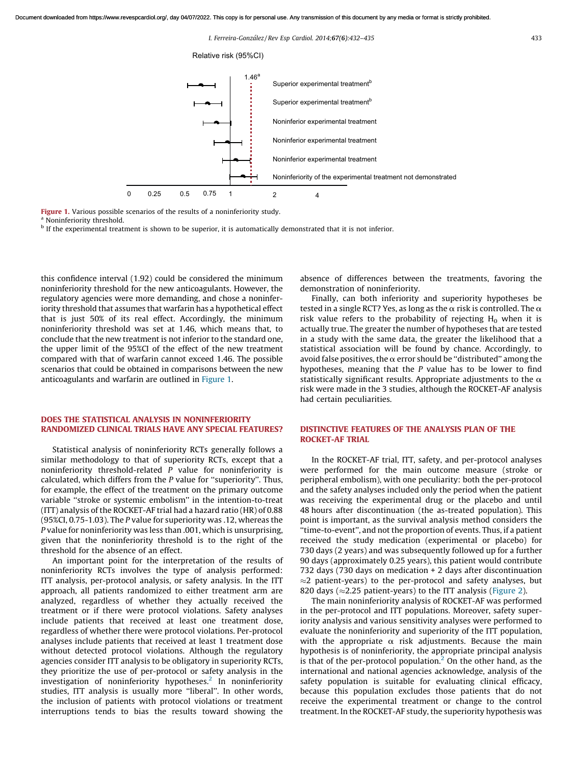*I. Ferreira-Gonza´lez / Rev Esp Cardiol. 2014;*67(6)*:432–435* 433



Figure 1. Various possible scenarios of the results of a noninferiority study.

<sup>a</sup> Noninferiority threshold.

<sup>b</sup> If the experimental treatment is shown to be superior, it is automatically demonstrated that it is not inferior.

this confidence interval (1.92) could be considered the minimum noninferiority threshold for the new anticoagulants. However, the regulatory agencies were more demanding, and chose a noninferiority threshold that assumes that warfarin has a hypothetical effect that is just 50% of its real effect. Accordingly, the minimum noninferiority threshold was set at 1.46, which means that, to conclude that the new treatment is not inferior to the standard one, the upper limit of the 95%CI of the effect of the new treatment compared with that of warfarin cannot exceed 1.46. The possible scenarios that could be obtained in comparisons between the new anticoagulants and warfarin are outlined in Figure 1.

#### DOES THE STATISTICAL ANALYSIS IN NONINFERIORITY RANDOMIZED CLINICAL TRIALS HAVE ANY SPECIAL FEATURES?

Statistical analysis of noninferiority RCTs generally follows a similar methodology to that of superiority RCTs, except that a noninferiority threshold-related *P* value for noninferiority is calculated, which differs from the *P* value for ''superiority''. Thus, for example, the effect of the treatment on the primary outcome variable ''stroke or systemic embolism'' in the intention-to-treat (ITT) analysis of the ROCKET-AF trial had a hazard ratio (HR) of 0.88 (95%CI, 0.75-1.03). The *P* value for superiority was .12, whereas the *P* value for noninferiority was less than .001, which is unsurprising, given that the noninferiority threshold is to the right of the threshold for the absence of an effect.

An important point for the interpretation of the results of noninferiority RCTs involves the type of analysis performed: ITT analysis, per-protocol analysis, or safety analysis. In the ITT approach, all patients randomized to either treatment arm are analyzed, regardless of whether they actually received the treatment or if there were protocol violations. Safety analyses include patients that received at least one treatment dose, regardless of whether there were protocol violations. Per-protocol analyses include patients that received at least 1 treatment dose without detected protocol violations. Although the regulatory agencies consider ITT analysis to be obligatory in superiority RCTs, they prioritize the use of per-protocol or safety analysis in the investigation of noninferiority hypotheses.<sup>[2](#page-2-0)</sup> In noninferiority studies, ITT analysis is usually more ''liberal''. In other words, the inclusion of patients with protocol violations or treatment interruptions tends to bias the results toward showing the

absence of differences between the treatments, favoring the demonstration of noninferiority.

Finally, can both inferiority and superiority hypotheses be tested in a single RCT? Yes, as long as the  $\alpha$  risk is controlled. The  $\alpha$ risk value refers to the probability of rejecting  $H_0$  when it is actually true. The greater the number of hypotheses that are tested in a study with the same data, the greater the likelihood that a statistical association will be found by chance. Accordingly, to avoid false positives, the  $\alpha$  error should be "distributed" among the hypotheses, meaning that the *P* value has to be lower to find statistically significant results. Appropriate adjustments to the  $\alpha$ risk were made in the 3 studies, although the ROCKET-AF analysis had certain peculiarities.

## DISTINCTIVE FEATURES OF THE ANALYSIS PLAN OF THE ROCKET-AF TRIAL

In the ROCKET-AF trial, ITT, safety, and per-protocol analyses were performed for the main outcome measure (stroke or peripheral embolism), with one peculiarity: both the per-protocol and the safety analyses included only the period when the patient was receiving the experimental drug or the placebo and until 48 hours after discontinuation (the as-treated population). This point is important, as the survival analysis method considers the ''time-to-event'', and not the proportion of events. Thus, if a patient received the study medication (experimental or placebo) for 730 days (2 years) and was subsequently followed up for a further 90 days (approximately 0.25 years), this patient would contribute 732 days (730 days on medication + 2 days after discontinuation  $\approx$ 2 patient-years) to the per-protocol and safety analyses, but 820 days ( $\approx$ 2.25 patient-years) to the ITT analysis [\(Figure](#page-2-0) 2).

The main noninferiority analysis of ROCKET-AF was performed in the per-protocol and ITT populations. Moreover, safety superiority analysis and various sensitivity analyses were performed to evaluate the noninferiority and superiority of the ITT population, with the appropriate  $\alpha$  risk adjustments. Because the main hypothesis is of noninferiority, the appropriate principal analysis is that of the per-protocol population.<sup>[2](#page-2-0)</sup> On the other hand, as the international and national agencies acknowledge, analysis of the safety population is suitable for evaluating clinical efficacy, because this population excludes those patients that do not receive the experimental treatment or change to the control treatment. In the ROCKET-AF study, the superiority hypothesis was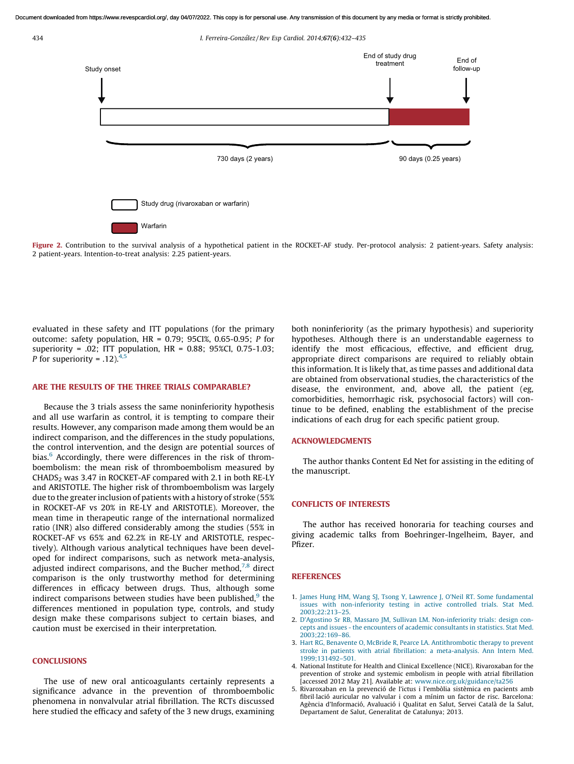<span id="page-2-0"></span>Document downloaded from https://www.revespcardiol.org/, day 04/07/2022. This copy is for personal use. Any transmission of this document by any media or format is strictly prohibited.

434 *I. Ferreira-Gonza´lez / Rev Esp Cardiol. 2014;*67(6)*:432–435*



Figure 2. Contribution to the survival analysis of a hypothetical patient in the ROCKET-AF study. Per-protocol analysis: 2 patient-years. Safety analysis: 2 patient-years. Intention-to-treat analysis: 2.25 patient-years.

evaluated in these safety and ITT populations (for the primary outcome: safety population, HR = 0.79; 95CI%, 0.65-0.95; *P* for superiority = .02; ITT population, HR = 0.88; 95%CI, 0.75-1.03; *P* for superiority = .12).<sup>4,5</sup>

#### ARE THE RESULTS OF THE THREE TRIALS COMPARABLE?

Because the 3 trials assess the same noninferiority hypothesis and all use warfarin as control, it is tempting to compare their results. However, any comparison made among them would be an indirect comparison, and the differences in the study populations, the control intervention, and the design are potential sources of bias. $6$  Accordingly, there were differences in the risk of thromboembolism: the mean risk of thromboembolism measured by  $CHADS<sub>2</sub>$  was 3.47 in ROCKET-AF compared with 2.1 in both RE-LY and ARISTOTLE. The higher risk of thromboembolism was largely due to the greater inclusion of patients with a history of stroke (55% in ROCKET-AF vs 20% in RE-LY and ARISTOTLE). Moreover, the mean time in therapeutic range of the international normalized ratio (INR) also differed considerably among the studies (55% in ROCKET-AF vs 65% and 62.2% in RE-LY and ARISTOTLE, respectively). Although various analytical techniques have been developed for indirect comparisons, such as network meta-analysis, adjusted indirect comparisons, and the Bucher method, $7,8$  direct comparison is the only trustworthy method for determining differences in efficacy between drugs. Thus, although some indirect comparisons between studies have been published, $9$  the differences mentioned in population type, controls, and study design make these comparisons subject to certain biases, and caution must be exercised in their interpretation.

## **CONCLUSIONS**

The use of new oral anticoagulants certainly represents a significance advance in the prevention of thromboembolic phenomena in nonvalvular atrial fibrillation. The RCTs discussed here studied the efficacy and safety of the 3 new drugs, examining both noninferiority (as the primary hypothesis) and superiority hypotheses. Although there is an understandable eagerness to identify the most efficacious, effective, and efficient drug, appropriate direct comparisons are required to reliably obtain this information. It is likely that, as time passes and additional data are obtained from observational studies, the characteristics of the disease, the environment, and, above all, the patient (eg, comorbidities, hemorrhagic risk, psychosocial factors) will continue to be defined, enabling the establishment of the precise indications of each drug for each specific patient group.

#### ACKNOWLEDGMENTS

The author thanks Content Ed Net for assisting in the editing of the manuscript.

#### CONFLICTS OF INTERESTS

The author has received honoraria for teaching courses and giving academic talks from Boehringer-Ingelheim, Bayer, and Pfizer.

#### **REFERENCES**

- 1. James Hung HM, Wang SJ, Tsong Y, Lawrence J, O'Neil RT. Some [fundamental](http://refhub.elsevier.com/S1885-5857(14)00032-2/sbref0005) issues with [non-inferiority](http://refhub.elsevier.com/S1885-5857(14)00032-2/sbref0005) testing in active controlled trials. Stat Med. [2003;22:213–25](http://refhub.elsevier.com/S1885-5857(14)00032-2/sbref0005).
- 2. D'Agostino Sr RB, Massaro JM, Sullivan LM. [Non-inferiority](http://refhub.elsevier.com/S1885-5857(14)00032-2/sbref0010) trials: design concepts and issues - the encounters of academic [consultants](http://refhub.elsevier.com/S1885-5857(14)00032-2/sbref0010) in statistics. Stat Med. [2003;22:169–86](http://refhub.elsevier.com/S1885-5857(14)00032-2/sbref0010).
- 3. Hart RG, Benavente O, McBride R, Pearce LA. [Antithrombotic](http://refhub.elsevier.com/S1885-5857(14)00032-2/sbref0015) therapy to prevent stroke in patients with atrial fibrillation: a [meta-analysis.](http://refhub.elsevier.com/S1885-5857(14)00032-2/sbref0015) Ann Intern Med. [1999;131492–501.](http://refhub.elsevier.com/S1885-5857(14)00032-2/sbref0015)
- 4. National Institute for Health and Clinical Excellence (NICE). Rivaroxaban for the prevention of stroke and systemic embolism in people with atrial fibrillation [accessed 2012 May 21]. Available at: [www.nice.org.uk/guidance/ta256](http://www.nice.org.uk/guidance/ta256)
- 5. Rivaroxaban en la prevenció de l'ictus i l'embòlia sistèmica en pacients amb fibril·lació auricular no valvular i com a mínim un factor de risc. Barcelona: Agència d'Informació, Avaluació i Qualitat en Salut, Servei Català de la Salut, Departament de Salut, Generalitat de Catalunya; 2013.